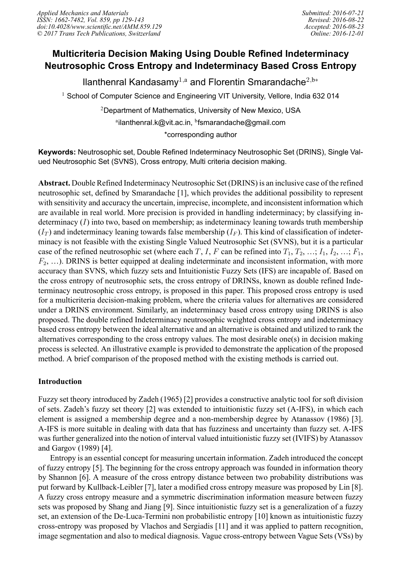# **Multicriteria Decision Making Using Double Refined Indeterminacy Neutrosophic Cross Entropy and Indeterminacy Based Cross Entropy**

llanthenral Kandasamy<sup>1,a</sup> and Florentin Smarandache<sup>2,b</sup>\*

<sup>1</sup> School of Computer Science and Engineering VIT University, Vellore, India 632 014

<sup>2</sup>Department of Mathematics, University of New Mexico, USA ªilanthenral.k@vit.ac.in, <sup>ь</sup>fsmarandache@gmail.com \*corresponding author

**Keywords:** Neutrosophic set, Double Refined Indeterminacy Neutrosophic Set (DRINS), Single Valued Neutrosophic Set (SVNS), Cross entropy, Multi criteria decision making.

**Abstract.** Double Refined Indeterminacy Neutrosophic Set (DRINS) is an inclusive case of the refined neutrosophic set, defined by Smarandache [1], which provides the additional possibility to represent with sensitivity and accuracy the uncertain, imprecise, incomplete, and inconsistent information which are available in real world. More precision is provided in handling indeterminacy; by classifying indeterminacy (*I*) into two, based on membership; as indeterminacy leaning towards truth membership  $(I_T)$  and indeterminacy leaning towards false membership  $(I_F)$ . This kind of classification of indeterminacy is not feasible with the existing Single Valued Neutrosophic Set (SVNS), but it is a particular case of the refined neutrosophic set (where each  $T$ ,  $I$ ,  $F$  can be refined into  $T_1, T_2, ..., I_1, I_2, ..., F_1$ , *F*<sub>2</sub>, ...). DRINS is better equipped at dealing indeterminate and inconsistent information, with more accuracy than SVNS, which fuzzy sets and Intuitionistic Fuzzy Sets (IFS) are incapable of. Based on the cross entropy of neutrosophic sets, the cross entropy of DRINSs, known as double refined Indeterminacy neutrosophic cross entropy, is proposed in this paper. This proposed cross entropy is used for a multicriteria decision-making problem, where the criteria values for alternatives are considered under a DRINS environment. Similarly, an indeterminacy based cross entropy using DRINS is also proposed. The double refined Indeterminacy neutrosophic weighted cross entropy and indeterminacy based cross entropy between the ideal alternative and an alternative is obtained and utilized to rank the alternatives corresponding to the cross entropy values. The most desirable one(s) in decision making process is selected. An illustrative example is provided to demonstrate the application of the proposed method. A brief comparison of the proposed method with the existing methods is carried out.

# **Introduction**

Fuzzy set theory introduced by Zadeh (1965) [2] provides a constructive analytic tool for soft division of sets. Zadeh's fuzzy set theory [2] was extended to intuitionistic fuzzy set (A-IFS), in which each element is assigned a membership degree and a non-membership degree by Atanassov (1986) [3]. A-IFS is more suitable in dealing with data that has fuzziness and uncertainty than fuzzy set. A-IFS was further generalized into the notion of interval valued intuitionistic fuzzy set (IVIFS) by Atanassov and Gargov (1989) [4].

Entropy is an essential concept for measuring uncertain information. Zadeh introduced the concept of fuzzy entropy [5]. The beginning for the cross entropy approach was founded in information theory by Shannon [6]. A measure of the cross entropy distance between two probability distributions was put forward by Kullback-Leibler [7], later a modified cross entropy measure was proposed by Lin [8]. A fuzzy cross entropy measure and a symmetric discrimination information measure between fuzzy sets was proposed by Shang and Jiang [9]. Since intuitionistic fuzzy set is a generalization of a fuzzy set, an extension of the De-Luca-Termini non probabilistic entropy [10] known as intuitionistic fuzzy cross-entropy was proposed by Vlachos and Sergiadis [11] and it was applied to pattern recognition, image segmentation and also to medical diagnosis. Vague cross-entropy between Vague Sets (VSs) by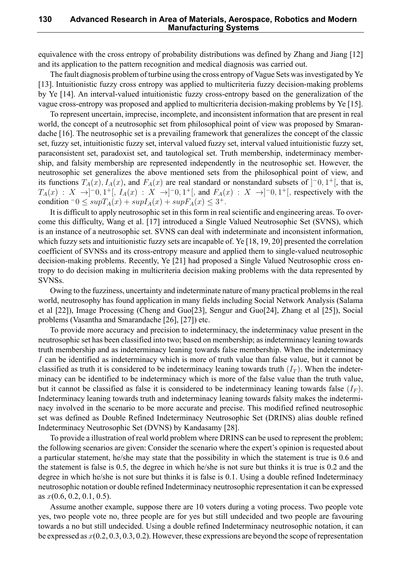equivalence with the cross entropy of probability distributions was defined by Zhang and Jiang [12] and its application to the pattern recognition and medical diagnosis was carried out.

The fault diagnosis problem of turbine using the cross entropy of Vague Sets was investigated by Ye [13]. Intuitionistic fuzzy cross entropy was applied to multicriteria fuzzy decision-making problems by Ye [14]. An interval-valued intuitionistic fuzzy cross-entropy based on the generalization of the vague cross-entropy was proposed and applied to multicriteria decision-making problems by Ye [15].

To represent uncertain, imprecise, incomplete, and inconsistent information that are present in real world, the concept of a neutrosophic set from philosophical point of view was proposed by Smarandache [16]. The neutrosophic set is a prevailing framework that generalizes the concept of the classic set, fuzzy set, intuitionistic fuzzy set, interval valued fuzzy set, interval valued intuitionistic fuzzy set, paraconsistent set, paradoxist set, and tautological set. Truth membership, indeterminacy membership, and falsity membership are represented independently in the neutrosophic set. However, the neutrosophic set generalizes the above mentioned sets from the philosophical point of view, and its functions  $T_A(x)$ ,  $I_A(x)$ , and  $F_A(x)$  are real standard or nonstandard subsets of  $]^{-0}$ ,  $1^+$ [, that is,  $T_A(x) : X \to ]-0,1^+[, I_A(x) : X \to ]-0,1^+[,$  and  $F_A(x) : X \to ]-0,1^+[,$  respectively with the  $\text{condition } \neg 0 \leq \text{supT}_A(x) + \text{supT}_A(x) + \text{supF}_A(x) \leq 3^+.$ 

It is difficult to apply neutrosophic set in this form in real scientific and engineering areas. To overcome this difficulty, Wang et al. [17] introduced a Single Valued Neutrosophic Set (SVNS), which is an instance of a neutrosophic set. SVNS can deal with indeterminate and inconsistent information, which fuzzy sets and intuitionistic fuzzy sets are incapable of. Ye [18, 19, 20] presented the correlation coefficient of SVNSs and its cross-entropy measure and applied them to single-valued neutrosophic decision-making problems. Recently, Ye [21] had proposed a Single Valued Neutrosophic cross entropy to do decision making in multicriteria decision making problems with the data represented by SVNSs.

Owing to the fuzziness, uncertainty and indeterminate nature of many practical problems in the real world, neutrosophy has found application in many fields including Social Network Analysis (Salama et al [22]), Image Processing (Cheng and Guo[23], Sengur and Guo[24], Zhang et al [25]), Social problems (Vasantha and Smarandache [26], [27]) etc.

To provide more accuracy and precision to indeterminacy, the indeterminacy value present in the neutrosophic set has been classified into two; based on membership; as indeterminacy leaning towards truth membership and as indeterminacy leaning towards false membership. When the indeterminacy *I* can be identified as indeterminacy which is more of truth value than false value, but it cannot be classified as truth it is considered to be indeterminacy leaning towards truth  $(I_T)$ . When the indeterminacy can be identified to be indeterminacy which is more of the false value than the truth value, but it cannot be classified as false it is considered to be indeterminacy leaning towards false  $(I_F)$ . Indeterminacy leaning towards truth and indeterminacy leaning towards falsity makes the indeterminacy involved in the scenario to be more accurate and precise. This modified refined neutrosophic set was defined as Double Refined Indeterminacy Neutrosophic Set (DRINS) alias double refined Indeterminacy Neutrosophic Set (DVNS) by Kandasamy [28].

To provide a illustration of real world problem where DRINS can be used to represent the problem; the following scenarios are given: Consider the scenario where the expert's opinion is requested about a particular statement, he/she may state that the possibility in which the statement is true is 0.6 and the statement is false is 0.5, the degree in which he/she is not sure but thinks it is true is 0.2 and the degree in which he/she is not sure but thinks it is false is 0.1. Using a double refined Indeterminacy neutrosophic notation or double refined Indeterminacy neutrosophic representation it can be expressed as *x*(0.6, 0.2, 0.1, 0.5).

Assume another example, suppose there are 10 voters during a voting process. Two people vote yes, two people vote no, three people are for yes but still undecided and two people are favouring towards a no but still undecided. Using a double refined Indeterminacy neutrosophic notation, it can be expressed as *x*(0.2, 0.3, 0.3, 0.2). However, these expressions are beyond the scope of representation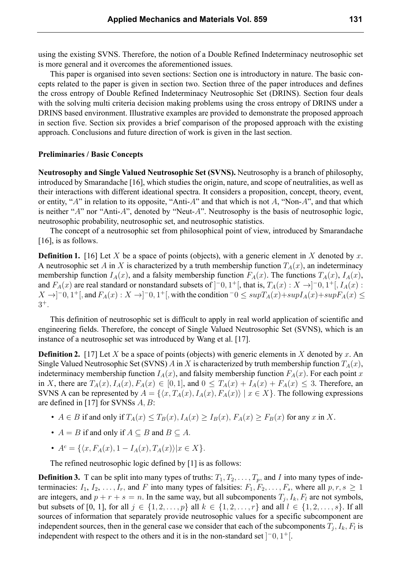using the existing SVNS. Therefore, the notion of a Double Refined Indeterminacy neutrosophic set is more general and it overcomes the aforementioned issues.

This paper is organised into seven sections: Section one is introductory in nature. The basic concepts related to the paper is given in section two. Section three of the paper introduces and defines the cross entropy of Double Refined Indeterminacy Neutrosophic Set (DRINS). Section four deals with the solving multi criteria decision making problems using the cross entropy of DRINS under a DRINS based environment. Illustrative examples are provided to demonstrate the proposed approach in section five. Section six provides a brief comparison of the proposed approach with the existing approach. Conclusions and future direction of work is given in the last section.

#### **Preliminaries / Basic Concepts**

**Neutrosophy and Single Valued Neutrosophic Set (SVNS).** Neutrosophy is a branch of philosophy, introduced by Smarandache [16], which studies the origin, nature, and scope of neutralities, as well as their interactions with different ideational spectra. It considers a proposition, concept, theory, event, or entity, "*A*" in relation to its opposite, "Anti-*A*" and that which is not *A*, "Non-*A*", and that which is neither "*A*" nor "Anti-*A*", denoted by "Neut-*A*". Neutrosophy is the basis of neutrosophic logic, neutrosophic probability, neutrosophic set, and neutrosophic statistics.

The concept of a neutrosophic set from philosophical point of view, introduced by Smarandache [16], is as follows.

**Definition 1.** [16] Let *X* be a space of points (objects), with a generic element in *X* denoted by *x*. A neutrosophic set *A* in *X* is characterized by a truth membership function  $T_A(x)$ , an indeterminacy membership function  $I_A(x)$ , and a falsity membership function  $F_A(x)$ . The functions  $T_A(x)$ ,  $I_A(x)$ , and  $F_A(x)$  are real standard or nonstandard subsets of  $]$ <sup>-</sup>0, 1<sup>+</sup>[, that is,  $T_A(x) : X \rightarrow ]$ <sup>-</sup>0, 1<sup>+</sup>[,  $I_A(x)$  :  $X \to ]-0,1^+[$ , and  $F_A(x): X \to ]-0,1^+[$ , with the condition  $-0 \leq supT_A(x)+supI_A(x)+supF_A(x) \leq 0$ 3 +*.*

This definition of neutrosophic set is difficult to apply in real world application of scientific and engineering fields. Therefore, the concept of Single Valued Neutrosophic Set (SVNS), which is an instance of a neutrosophic set was introduced by Wang et al. [17].

**Definition 2.** [17] Let *X* be a space of points (objects) with generic elements in *X* denoted by *x*. An Single Valued Neutrosophic Set (SVNS) *A* in *X* is characterized by truth membership function *TA*(*x*), indeterminacy membership function  $I_A(x)$ , and falsity membership function  $F_A(x)$ . For each point *x* in X, there are  $T_A(x)$ ,  $I_A(x)$ ,  $F_A(x) \in [0,1]$ , and  $0 \leq T_A(x) + I_A(x) + F_A(x) \leq 3$ . Therefore, an SVNS A can be represented by  $A = \{ \langle x, T_A(x), I_A(x), F_A(x) \rangle \mid x \in X \}$ . The following expressions are defined in [17] for SVNSs *A, B*:

- $A \in B$  if and only if  $T_A(x) \leq T_B(x)$ ,  $I_A(x) \geq I_B(x)$ ,  $F_A(x) \geq F_B(x)$  for any x in X.
- $A = B$  if and only if  $A \subseteq B$  and  $B \subseteq A$ .
- $\bullet$  *A<sup>c</sup>* = { $\langle x, F_A(x), 1 I_A(x), T_A(x) \rangle | x \in X$ }.

The refined neutrosophic logic defined by [1] is as follows:

**Definition 3.** T can be split into many types of truths:  $T_1, T_2, \ldots, T_p$ , and *I* into many types of indeterminacies:  $I_1, I_2, \ldots, I_r$ , and F into many types of falsities:  $F_1, F_2, \ldots, F_s$ , where all  $p, r, s \ge 1$ are integers, and  $p + r + s = n$ . In the same way, but all subcomponents  $T_j$ ,  $I_k$ ,  $F_l$  are not symbols, but subsets of [0, 1], for all *j* ∈ {1, 2, . . . , *p*} all  $k$  ∈ {1, 2, . . . , *r*} and all  $l$  ∈ {1, 2, . . . , *s*}. If all sources of information that separately provide neutrosophic values for a specific subcomponent are independent sources, then in the general case we consider that each of the subcomponents  $T_j$ ,  $I_k$ ,  $F_l$  is independent with respect to the others and it is in the non-standard set ] *<sup>−</sup>*0*,* 1 +[.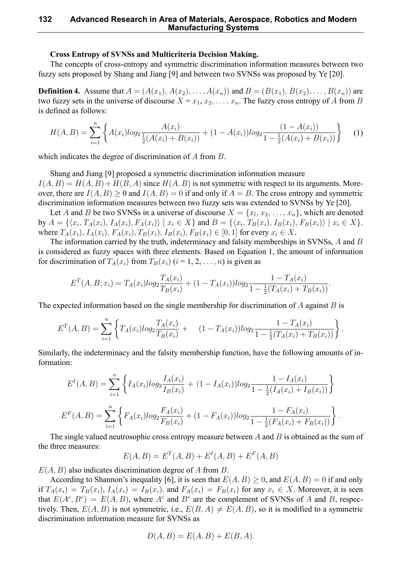#### **Cross Entropy of SVNSs and Multicriteria Decision Making.**

The concepts of cross-entropy and symmetric discrimination information measures between two fuzzy sets proposed by Shang and Jiang [9] and between two SVNSs was proposed by Ye [20].

**Definition 4.** Assume that  $A = (A(x_1), A(x_2), \ldots, A(x_n))$  and  $B = (B(x_1), B(x_2), \ldots, B(x_n))$  are two fuzzy sets in the universe of discourse  $X = x_1, x_2, \ldots, x_n$ . The fuzzy cross entropy of *A* from *B* is defined as follows:

$$
H(A, B) = \sum_{i=1}^{n} \left\{ A(x_i) \log_2 \frac{A(x_i)}{\frac{1}{2}(A(x_i) + B(x_i))} + (1 - A(x_i)) \log_2 \frac{(1 - A(x_i))}{1 - \frac{1}{2}(A(x_i) + B(x_i))} \right\}
$$
(1)

which indicates the degree of discrimination of *A* from *B*.

Shang and Jiang [9] proposed a symmetric discrimination information measure  $I(A, B) = H(A, B) + H(B, A)$  since  $H(A, B)$  is not symmetric with respect to its arguments. Moreover, there are  $I(A, B) \ge 0$  and  $I(A, B) = 0$  if and only if  $A = B$ . The cross entropy and symmetric discrimination information measures between two fuzzy sets was extended to SVNSs by Ye [20].

Let *A* and *B* be two SVNSs in a universe of discourse  $X = \{x_1, x_2, \ldots, x_n\}$ , which are denoted by  $A = \{ \langle x_i, T_A(x_i), I_A(x_i), F_A(x_i) \rangle \mid x_i \in X \}$  and  $B = \{ \langle x_i, T_B(x_i), I_B(x_i), F_B(x_i) \rangle \mid x_i \in X \},$ where  $T_A(x_i)$ ,  $I_A(x_i)$ ,  $F_A(x_i)$ ,  $T_B(x_i)$ ,  $I_B(x_i)$ ,  $F_B(x_i) \in [0,1]$  for every  $x_i \in X$ .

The information carried by the truth, indeterminacy and falsity memberships in SVNSs, *A* and *B* is considered as fuzzy spaces with three elements. Based on Equation 1, the amount of information for discrimination of  $T_A(x_i)$  from  $T_B(x_i)$  ( $i = 1, 2, ..., n$ ) is given as

$$
E^{T}(A, B; x_i) = T_A(x_i)log_2 \frac{T_A(x_i)}{T_B(x_i)} + (1 - T_A(x_i))log_2 \frac{1 - T_A(x_i)}{1 - \frac{1}{2}(T_A(x_i) + T_B(x_i))}.
$$

The expected information based on the single membership for discrimination of *A* against *B* is

$$
E^{T}(A,B) = \sum_{i=1}^{n} \left\{ T_{A}(x_{i}) log_{2} \frac{T_{A}(x_{i})}{T_{B}(x_{i})} + (1 - T_{A}(x_{i})) log_{2} \frac{1 - T_{A}(x_{i})}{1 - \frac{1}{2}(T_{A}(x_{i}) + T_{B}(x_{i}))} \right\}.
$$

Similarly, the indeterminacy and the falsity membership function, have the following amounts of information:

$$
E^{I}(A, B) = \sum_{i=1}^{n} \left\{ I_{A}(x_{i}) log_{2} \frac{I_{A}(x_{i})}{I_{B}(x_{i})} + (1 - I_{A}(x_{i})) log_{2} \frac{1 - I_{A}(x_{i})}{1 - \frac{1}{2}(I_{A}(x_{i}) + I_{B}(x_{i}))} \right\}
$$

$$
E^{F}(A, B) = \sum_{i=1}^{n} \left\{ F_{A}(x_{i}) log_{2} \frac{F_{A}(x_{i})}{F_{B}(x_{i})} + (1 - F_{A}(x_{i})) log_{2} \frac{1 - F_{A}(x_{i})}{1 - \frac{1}{2}(F_{A}(x_{i}) + F_{B}(x_{i}))} \right\}.
$$

The single valued neutrosophic cross entropy measure between *A* and *B* is obtained as the sum of the three measures:

$$
E(A, B) = E^{T}(A, B) + E^{I}(A, B) + E^{F}(A, B)
$$

*E*(*A, B*) also indicates discrimination degree of *A* from *B*.

According to Shannon's inequality [6], it is seen that  $E(A, B) \ge 0$ , and  $E(A, B) = 0$  if and only if  $T_A(x_i) = T_B(x_i)$ ,  $I_A(x_i) = I_B(x_i)$ , and  $F_A(x_i) = F_B(x_i)$  for any  $x_i \in X$ . Moreover, it is seen that  $E(A^c, B^c) = E(A, B)$ , where  $A^c$  and  $B^c$  are the complement of SVNSs of *A* and *B*, respectively. Then,  $E(A, B)$  is not symmetric, i.e.,  $E(B, A) \neq E(A, B)$ , so it is modified to a symmetric discrimination information measure for SVNSs as

$$
D(A, B) = E(A, B) + E(B, A).
$$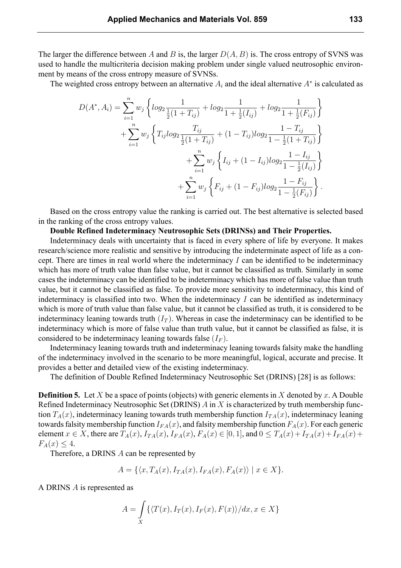The larger the difference between *A* and *B* is, the larger  $D(A, B)$  is. The cross entropy of SVNS was used to handle the multicriteria decision making problem under single valued neutrosophic environment by means of the cross entropy measure of SVNSs.

The weighted cross entropy between an alternative *A<sup>i</sup>* and the ideal alternative *A<sup>∗</sup>* is calculated as

$$
D(A^*, A_i) = \sum_{i=1}^n w_j \left\{ \log_2 \frac{1}{\frac{1}{2}(1+T_{ij})} + \log_2 \frac{1}{1+\frac{1}{2}(I_{ij})} + \log_2 \frac{1}{1+\frac{1}{2}(F_{ij})} \right\} + \sum_{i=1}^n w_j \left\{ T_{ij} \log_2 \frac{T_{ij}}{\frac{1}{2}(1+T_{ij})} + (1-T_{ij}) \log_2 \frac{1-T_{ij}}{1-\frac{1}{2}(1+T_{ij})} \right\} + \sum_{i=1}^n w_j \left\{ I_{ij} + (1-I_{ij}) \log_2 \frac{1-I_{ij}}{1-\frac{1}{2}(I_{ij})} \right\} + \sum_{i=1}^n w_j \left\{ F_{ij} + (1-F_{ij}) \log_2 \frac{1-F_{ij}}{1-\frac{1}{2}(F_{ij})} \right\}.
$$

Based on the cross entropy value the ranking is carried out. The best alternative is selected based in the ranking of the cross entropy values.

**Double Refined Indeterminacy Neutrosophic Sets (DRINSs) and Their Properties.**

Indeterminacy deals with uncertainty that is faced in every sphere of life by everyone. It makes research/science more realistic and sensitive by introducing the indeterminate aspect of life as a concept. There are times in real world where the indeterminacy *I* can be identified to be indeterminacy which has more of truth value than false value, but it cannot be classified as truth. Similarly in some cases the indeterminacy can be identified to be indeterminacy which has more of false value than truth value, but it cannot be classified as false. To provide more sensitivity to indeterminacy, this kind of indeterminacy is classified into two. When the indeterminacy *I* can be identified as indeterminacy which is more of truth value than false value, but it cannot be classified as truth, it is considered to be indeterminacy leaning towards truth  $(I_T)$ . Whereas in case the indeterminacy can be identified to be indeterminacy which is more of false value than truth value, but it cannot be classified as false, it is considered to be indeterminacy leaning towards false  $(I_F)$ .

Indeterminacy leaning towards truth and indeterminacy leaning towards falsity make the handling of the indeterminacy involved in the scenario to be more meaningful, logical, accurate and precise. It provides a better and detailed view of the existing indeterminacy.

The definition of Double Refined Indeterminacy Neutrosophic Set (DRINS) [28] is as follows:

**Definition 5.** Let *X* be a space of points (objects) with generic elements in *X* denoted by *x*. A Double Refined Indeterminacy Neutrosophic Set (DRINS) *A* in *X* is characterized by truth membership function  $T_A(x)$ , indeterminacy leaning towards truth membership function  $I_{TA}(x)$ , indeterminacy leaning towards falsity membership function  $I_{FA}(x)$ , and falsity membership function  $F_A(x)$ . For each generic element  $x \in X$ , there are  $T_A(x)$ ,  $I_{TA}(x)$ ,  $I_{FA}(x)$ ,  $F_A(x) \in [0,1]$ , and  $0 \le T_A(x) + I_{TA}(x) + I_{FA}(x) + I_{FA}(x)$  $F_A(x) \leq 4.$ 

Therefore, a DRINS *A* can be represented by

$$
A = \{ \langle x, T_A(x), I_{TA}(x), I_{FA}(x), F_A(x) \rangle \mid x \in X \}.
$$

A DRINS *A* is represented as

$$
A = \int_{X} \{ \langle T(x), I_T(x), I_F(x), F(x) \rangle / dx, x \in X \}
$$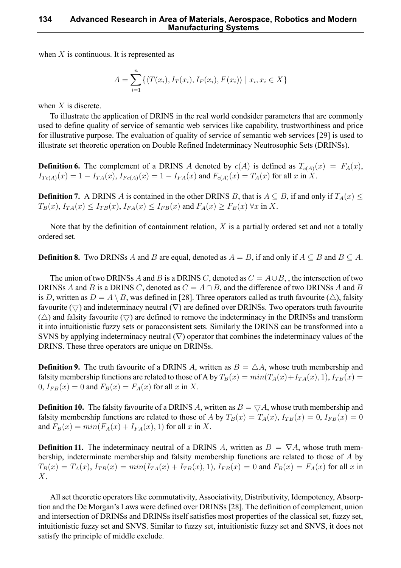when *X* is continuous. It is represented as

$$
A = \sum_{i=1}^{n} \{ \langle T(x_i), I_T(x_i), I_F(x_i), F(x_i) \rangle \mid x_i, x_i \in X \}
$$

when *X* is discrete.

To illustrate the application of DRINS in the real world condsider parameters that are commonly used to define quality of service of semantic web services like capability, trustworthiness and price for illustrative purpose. The evaluation of quality of service of semantic web services [29] is used to illustrate set theoretic operation on Double Refined Indeterminacy Neutrosophic Sets (DRINSs).

**Definition 6.** The complement of a DRINS *A* denoted by  $c(A)$  is defined as  $T_{c(A)}(x) = F_A(x)$ ,  $I_{Tc(A)}(x) = 1 - I_{TA}(x)$ ,  $I_{Fc(A)}(x) = 1 - I_{FA}(x)$  and  $F_{c(A)}(x) = T_A(x)$  for all x in X.

**Definition 7.** A DRINS *A* is contained in the other DRINS *B*, that is  $A \subseteq B$ , if and only if  $T_A(x) \leq$  $T_B(x)$ ,  $I_{TA}(x) \leq I_{TB}(x)$ ,  $I_{FA}(x) \leq I_{FB}(x)$  and  $F_A(x) \geq F_B(x)$   $\forall x$  in X.

Note that by the definition of containment relation, *X* is a partially ordered set and not a totally ordered set.

**Definition 8.** Two DRINSs *A* and *B* are equal, denoted as  $A = B$ , if and only if  $A \subseteq B$  and  $B \subseteq A$ .

The union of two DRINSs *A* and *B* is a DRINS *C*, denoted as *C* = *A∪B*, , the intersection of two DRINSs *A* and *B* is a DRINS *C*, denoted as *C* = *A ∩ B*, and the difference of two DRINSs *A* and *B* is *D*, written as  $D = A \setminus B$ , was defined in [28]. Three operators called as truth favourite ( $\triangle$ ), falsity favourite (*▽*) and indeterminacy neutral (*∇*) are defined over DRINSs. Two operators truth favourite  $(\triangle)$  and falsity favourite  $(\nabla)$  are defined to remove the indeterminacy in the DRINSs and transform it into intuitionistic fuzzy sets or paraconsistent sets. Similarly the DRINS can be transformed into a SVNS by applying indeterminacy neutral (*∇*) operator that combines the indeterminacy values of the DRINS. These three operators are unique on DRINSs.

**Definition 9.** The truth favourite of a DRINS *A*, written as  $B = \triangle A$ , whose truth membership and falsity membership functions are related to those of A by  $T_B(x) = min(T_A(x) + I_{TA}(x), 1), I_{TB}(x) =$  $0, I_{FB}(x) = 0$  and  $F_B(x) = F_A(x)$  for all x in X.

**Definition 10.** The falsity favourite of a DRINS *A*, written as  $B = \nabla A$ , whose truth membership and falsity membership functions are related to those of *A* by  $T_B(x) = T_A(x)$ ,  $I_{TB}(x) = 0$ ,  $I_{FB}(x) = 0$ and  $F_B(x) = min(F_A(x) + I_{FA}(x), 1)$  for all *x* in *X*.

**Definition 11.** The indeterminacy neutral of a DRINS *A*, written as  $B = \nabla A$ , whose truth membership, indeterminate membership and falsity membership functions are related to those of *A* by  $T_B(x) = T_A(x)$ ,  $I_{TB}(x) = min(I_{TA}(x) + I_{TB}(x), 1)$ ,  $I_{FB}(x) = 0$  and  $F_B(x) = F_A(x)$  for all x in *X*.

All set theoretic operators like commutativity, Associativity, Distributivity, Idempotency, Absorption and the De Morgan's Laws were defined over DRINSs [28]. The definition of complement, union and intersection of DRINSs and DRINSs itself satisfies most properties of the classical set, fuzzy set, intuitionistic fuzzy set and SNVS. Similar to fuzzy set, intuitionistic fuzzy set and SNVS, it does not satisfy the principle of middle exclude.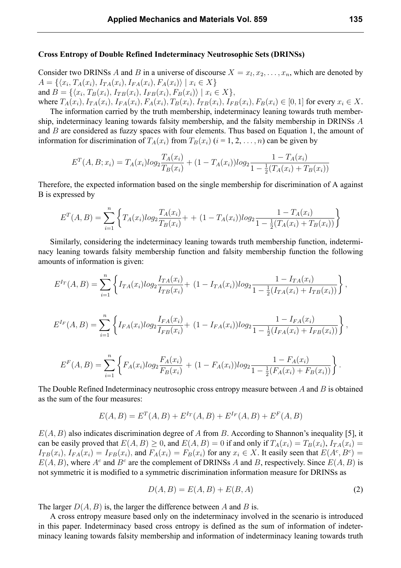#### **Cross Entropy of Double Refined Indeterminacy Neutrosophic Sets (DRINSs)**

Consider two DRINSs A and B in a universe of discourse  $X = x_l, x_2, \ldots, x_n$ , which are denoted by  $A = \{ \langle x_i, T_A(x_i), I_{TA}(x_i), I_{FA}(x_i), F_A(x_i) \rangle \mid x_i \in X \}$ and  $B = \{ \langle x_i, T_B(x_i), I_{TB}(x_i), I_{FB}(x_i), F_B(x_i) \rangle \mid x_i \in X \},$ 

where  $T_A(x_i)$ ,  $I_{TA}(x_i)$ ,  $I_{FA}(x_i)$ ,  $F_A(x_i)$ ,  $T_B(x_i)$ ,  $I_{TB}(x_i)$ ,  $I_{FB}(x_i)$ ,  $F_B(x_i) \in [0,1]$  for every  $x_i \in X$ . The information carried by the truth membership, indeterminacy leaning towards truth membership, indeterminacy leaning towards falsity membership, and the falsity membership in DRINSs *A* and *B* are considered as fuzzy spaces with four elements. Thus based on Equation 1, the amount of information for discrimination of  $T_A(x_i)$  from  $T_B(x_i)$  ( $i = 1, 2, ..., n$ ) can be given by

$$
E^{T}(A, B; x_{i}) = T_{A}(x_{i})log_{2} \frac{T_{A}(x_{i})}{T_{B}(x_{i})} + (1 - T_{A}(x_{i}))log_{2} \frac{1 - T_{A}(x_{i})}{1 - \frac{1}{2}(T_{A}(x_{i}) + T_{B}(x_{i}))}
$$

Therefore, the expected information based on the single membership for discrimination of A against B is expressed by

$$
E^{T}(A,B) = \sum_{i=1}^{n} \left\{ T_A(x_i) log_2 \frac{T_A(x_i)}{T_B(x_i)} + (1 - T_A(x_i)) log_2 \frac{1 - T_A(x_i)}{1 - \frac{1}{2}(T_A(x_i) + T_B(x_i))} \right\}
$$

Similarly, considering the indeterminacy leaning towards truth membership function, indeterminacy leaning towards falsity membership function and falsity membership function the following amounts of information is given:

$$
E^{I_T}(A, B) = \sum_{i=1}^n \left\{ I_{TA}(x_i) \log_2 \frac{I_{TA}(x_i)}{I_{TB}(x_i)} + (1 - I_{TA}(x_i)) \log_2 \frac{1 - I_{TA}(x_i)}{1 - \frac{1}{2}(I_{TA}(x_i) + I_{TB}(x_i))} \right\},
$$
  
\n
$$
E^{I_F}(A, B) = \sum_{i=1}^n \left\{ I_{FA}(x_i) \log_2 \frac{I_{FA}(x_i)}{I_{FB}(x_i)} + (1 - I_{FA}(x_i)) \log_2 \frac{1 - I_{FA}(x_i)}{1 - \frac{1}{2}(I_{FA}(x_i) + I_{FB}(x_i))} \right\},
$$
  
\n
$$
E^{F}(A, B) = \sum_{i=1}^n \left\{ F_A(x_i) \log_2 \frac{F_A(x_i)}{F_B(x_i)} + (1 - F_A(x_i)) \log_2 \frac{1 - F_A(x_i)}{1 - \frac{1}{2}(F_A(x_i) + F_B(x_i))} \right\}.
$$

The Double Refined Indeterminacy neutrosophic cross entropy measure between *A* and *B* is obtained as the sum of the four measures:

$$
E(A, B) = ET(A, B) + EIT(A, B) + EIF(A, B) + EF(A, B)
$$

*E*(*A, B*) also indicates discrimination degree of *A* from *B*. According to Shannon's inequality [5], it can be easily proved that  $E(A, B) \ge 0$ , and  $E(A, B) = 0$  if and only if  $T_A(x_i) = T_B(x_i)$ ,  $I_{TA}(x_i) =$  $I_{TB}(x_i)$ ,  $I_{FA}(x_i) = I_{FB}(x_i)$ , and  $F_A(x_i) = F_B(x_i)$  for any  $x_i \in X$ . It easily seen that  $E(A^c, B^c) =$  $E(A, B)$ , where  $A^c$  and  $B^c$  are the complement of DRINSs *A* and *B*, respectively. Since  $E(A, B)$  is not symmetric it is modified to a symmetric discrimination information measure for DRINSs as

$$
D(A, B) = E(A, B) + E(B, A)
$$
\n<sup>(2)</sup>

The larger *D*(*A, B*) is, the larger the difference between *A* and *B* is.

*i*=1

A cross entropy measure based only on the indeterminacy involved in the scenario is introduced in this paper. Indeterminacy based cross entropy is defined as the sum of information of indeterminacy leaning towards falsity membership and information of indeterminacy leaning towards truth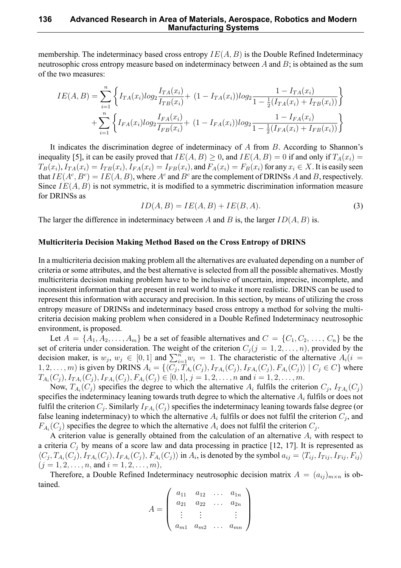membership. The indeterminacy based cross entropy *IE*(*A, B*) is the Double Refined Indeterminacy neutrosophic cross entropy measure based on indeterminacy between *A* and *B*; is obtained as the sum of the two measures:

$$
IE(A, B) = \sum_{i=1}^{n} \left\{ I_{TA}(x_i) log_2 \frac{I_{TA}(x_i)}{I_{TB}(x_i)} + (1 - I_{TA}(x_i)) log_2 \frac{1 - I_{TA}(x_i)}{1 - \frac{1}{2}(I_{TA}(x_i) + I_{TB}(x_i))} \right\}
$$
  
+ 
$$
\sum_{i=1}^{n} \left\{ I_{FA}(x_i) log_2 \frac{I_{FA}(x_i)}{I_{FB}(x_i)} + (1 - I_{FA}(x_i)) log_2 \frac{1 - I_{FA}(x_i)}{1 - \frac{1}{2}(I_{FA}(x_i) + I_{FB}(x_i))} \right\}
$$

It indicates the discrimination degree of indeterminacy of *A* from *B*. According to Shannon's inequality [5], it can be easily proved that  $IE(A, B) \geq 0$ , and  $IE(A, B) = 0$  if and only if  $T_A(x_i) =$  $T_B(x_i)$ ,  $I_{TA}(x_i) = I_{TB}(x_i)$ ,  $I_{FA}(x_i) = I_{FB}(x_i)$ , and  $F_A(x_i) = F_B(x_i)$  for any  $x_i \in X$ . It is easily seen that  $IE(A^c, B^c) = IE(A, B)$ , where  $A^c$  and  $B^c$  are the complement of DRINSs *A* and *B*, respectively. Since *IE*(*A, B*) is not symmetric, it is modified to a symmetric discrimination information measure for DRINSs as

$$
ID(A, B) = IE(A, B) + IE(B, A).
$$
\n(3)

The larger the difference in indeterminacy between *A* and *B* is, the larger *ID*(*A, B*) is.

#### **Multicriteria Decision Making Method Based on the Cross Entropy of DRINS**

In a multicriteria decision making problem all the alternatives are evaluated depending on a number of criteria or some attributes, and the best alternative is selected from all the possible alternatives. Mostly multicriteria decision making problem have to be inclusive of uncertain, imprecise, incomplete, and inconsistent information that are present in real world to make it more realistic. DRINS can be used to represent this information with accuracy and precision. In this section, by means of utilizing the cross entropy measure of DRINSs and indeterminacy based cross entropy a method for solving the multicriteria decision making problem when considered in a Double Refined Indeterminacy neutrosophic environment, is proposed.

Let  $A = \{A_1, A_2, \ldots, A_m\}$  be a set of feasible alternatives and  $C = \{C_1, C_2, \ldots, C_n\}$  be the set of criteria under consideration. The weight of the criterion  $C_j$  ( $j = 1, 2, \ldots, n$ ), provided by the decision maker, is  $w_j$ ,  $w_j \in [0,1]$  and  $\sum_{i=1}^n w_i = 1$ . The characteristic of the alternative  $A_i(i)$  $(1, 2, \ldots, m)$  is given by DRINS  $A_i = \{ \langle C_j, T_{A_i}(C_j), I_{TA_i}(C_j), I_{FA_i}(C_j), F_{A_i}(C_j) \rangle \mid C_j \in C \}$  where  $T_{A_i}(C_j), I_{TA_i}(C_j), I_{FA_i}(C_j), F_{A_i}(C_j) \in [0,1], j = 1,2,\ldots,n$  and  $i = 1,2,\ldots,m$ .

Now,  $T_{A_i}(C_j)$  specifies the degree to which the alternative  $A_i$  fulfils the criterion  $C_j$ ,  $I_{TA_i}(C_j)$ specifies the indeterminacy leaning towards truth degree to which the alternative *A<sup>i</sup>* fulfils or does not fulfil the criterion  $C_j$ . Similarly  $I_{FA_i}(C_j)$  specifies the indeterminacy leaning towards false degree (or false leaning indeterminacy) to which the alternative  $A_i$  fulfils or does not fulfil the criterion  $C_j$ , and  $F_{A_i}(C_j)$  specifies the degree to which the alternative  $A_i$  does not fulfil the criterion  $C_j$ .

A criterion value is generally obtained from the calculation of an alternative *A<sup>i</sup>* with respect to a criteria  $C_i$  by means of a score law and data processing in practice [12, 17]. It is represented as  $\langle C_j, T_{A_i}(C_j), I_{TA_i}(C_j), I_{FA_i}(C_j), F_{A_i}(C_j) \rangle$  in  $A_i$ , is denoted by the symbol  $a_{ij} = \langle T_{ij}, I_{Tij}, I_{Fij}, F_{ij} \rangle$  $(j = 1, 2, \ldots, n$ , and  $i = 1, 2, \ldots, m$ ),

Therefore, a Double Refined Indeterminacy neutrosophic decision matrix  $A = (a_{ij})_{m \times n}$  is obtained.

$$
A = \left(\begin{array}{cccc} a_{11} & a_{12} & \dots & a_{1n} \\ a_{21} & a_{22} & \dots & a_{2n} \\ \vdots & \vdots & & \vdots \\ a_{m1} & a_{m2} & \dots & a_{mn} \end{array}\right)
$$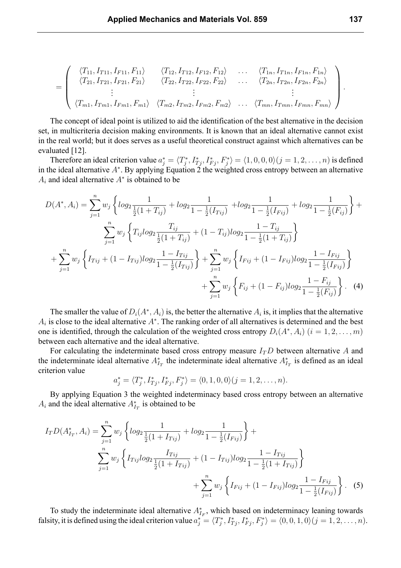$$
= \left(\begin{array}{cccc} \langle T_{11}, I_{T11}, I_{F11}, F_{11} \rangle & \langle T_{12}, I_{T12}, I_{F12}, F_{12} \rangle & \dots & \langle T_{1n}, I_{T1n}, I_{F1n}, F_{1n} \rangle \\ \langle T_{21}, I_{T21}, I_{F21}, F_{21} \rangle & \langle T_{22}, I_{T22}, I_{F22}, F_{22} \rangle & \dots & \langle T_{2n}, I_{T2n}, I_{F2n}, F_{2n} \rangle \\ \vdots & \vdots & & \vdots \\ \langle T_{m1}, I_{Tm1}, I_{Fm1}, F_{m1} \rangle & \langle T_{m2}, I_{Tm2}, I_{Fm2}, F_{m2} \rangle & \dots & \langle T_{mn}, I_{Tmn}, I_{Fmn}, F_{mn} \rangle \end{array}\right)
$$

The concept of ideal point is utilized to aid the identification of the best alternative in the decision set, in multicriteria decision making environments. It is known that an ideal alternative cannot exist in the real world; but it does serves as a useful theoretical construct against which alternatives can be evaluated [12].

Therefore an ideal criterion value  $a_j^* = \langle T_j^*, I_{Tj}^*, I_{Fj}^*, F_j^* \rangle = \langle 1, 0, 0, 0 \rangle (j = 1, 2, \dots, n)$  is defined in the ideal alternative *A<sup>∗</sup>* . By applying Equation 2 the weighted cross entropy between an alternative *A<sup>i</sup>* and ideal alternative *A<sup>∗</sup>* is obtained to be

$$
D(A^*, A_i) = \sum_{j=1}^{n} w_j \left\{ \log_2 \frac{1}{\frac{1}{2}(1+T_{ij})} + \log_2 \frac{1}{1-\frac{1}{2}(I_{Tij})} + \log_2 \frac{1}{1-\frac{1}{2}(I_{Fij})} + \log_2 \frac{1}{1-\frac{1}{2}(F_{ij})} \right\} + \sum_{j=1}^{n} w_j \left\{ T_{ij} \log_2 \frac{T_{ij}}{\frac{1}{2}(1+T_{ij})} + (1-T_{ij}) \log_2 \frac{1-T_{ij}}{1-\frac{1}{2}(1+T_{ij})} \right\} + \sum_{j=1}^{n} w_j \left\{ I_{Tij} + (1-I_{Tij}) \log_2 \frac{1-I_{Tij}}{1-\frac{1}{2}(I_{Tij})} \right\} + \sum_{j=1}^{n} w_j \left\{ I_{Fij} + (1-I_{Fij}) \log_2 \frac{1-I_{Fij}}{1-\frac{1}{2}(I_{Fij})} \right\} + \sum_{j=1}^{n} w_j \left\{ F_{ij} + (1-F_{ij}) \log_2 \frac{1-F_{ij}}{1-\frac{1}{2}(F_{ij})} \right\}.
$$
 (4)

The smaller the value of  $D_i(A^*, A_i)$  is, the better the alternative  $A_i$  is, it implies that the alternative *Ai* is close to the ideal alternative *A<sup>∗</sup>* . The ranking order of all alternatives is determined and the best one is identified, through the calculation of the weighted cross entropy  $D_i(A^*, A_i)$   $(i = 1, 2, \ldots, m)$ between each alternative and the ideal alternative.

For calculating the indeterminate based cross entropy measure  $I<sub>T</sub>D$  between alternative A and the indeterminate ideal alternative  $A_{I_T}^*$  the indeterminate ideal alternative  $A_{I_T}^*$  is defined as an ideal criterion value

$$
a_j^* = \langle T_j^*, I_{Tj}^*, I_{Fj}^*, F_j^* \rangle = \langle 0, 1, 0, 0 \rangle (j = 1, 2, \dots, n).
$$

By applying Equation 3 the weighted indeterminacy based cross entropy between an alternative  $A_i$  and the ideal alternative  $A_{I_T}^*$  is obtained to be

$$
I_{T}D(A_{I_{T}}^{*}, A_{i}) = \sum_{j=1}^{n} w_{j} \left\{ log_{2} \frac{1}{\frac{1}{2}(1 + I_{Tij})} + log_{2} \frac{1}{1 - \frac{1}{2}(I_{Fij})} \right\} + \sum_{j=1}^{n} w_{j} \left\{ I_{Tij} log_{2} \frac{I_{Tij}}{\frac{1}{2}(1 + I_{Tij})} + (1 - I_{Tij}) log_{2} \frac{1 - I_{Tij}}{1 - \frac{1}{2}(1 + I_{Tij})} \right\} + \sum_{j=1}^{n} w_{j} \left\{ I_{Fij} + (1 - I_{Fij}) log_{2} \frac{1 - I_{Fij}}{1 - \frac{1}{2}(I_{Fij})} \right\}.
$$
 (5)

To study the indeterminate ideal alternative  $A_{I_F}^*$ , which based on indeterminacy leaning towards falsity, it is defined using the ideal criterion value  $a_j^* = \langle T_j^*, I_{Tj}^*, I_{Fj}^*, F_j^* \rangle = \langle 0, 0, 1, 0 \rangle (j = 1, 2, \dots, n)$ .

*.*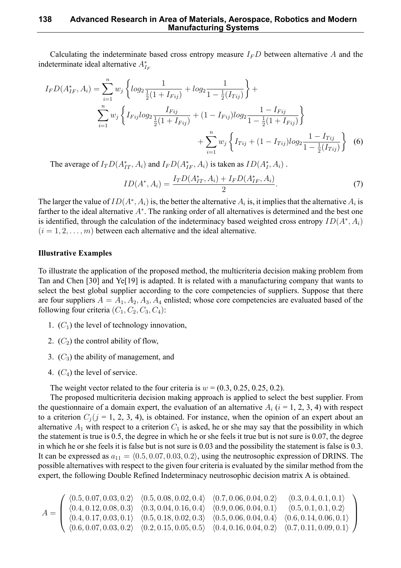#### **138 Advanced Research in Area of Materials, Aerospace, Robotics and Modern Manufacturing Systems**

Calculating the indeterminate based cross entropy measure  $I<sub>F</sub>D$  between alternative A and the indeterminate ideal alternative  $A_{I_F}^*$ 

$$
I_F D(A_{IF}^*, A_i) = \sum_{i=1}^n w_j \left\{ \log_2 \frac{1}{\frac{1}{2}(1 + I_{Fig})} + \log_2 \frac{1}{1 - \frac{1}{2}(I_{Fig})} \right\} + \sum_{i=1}^n w_j \left\{ I_{Fig} \log_2 \frac{I_{Fig}}{\frac{1}{2}(1 + I_{Fig})} + (1 - I_{Fig}) \log_2 \frac{1 - I_{Fig}}{1 - \frac{1}{2}(1 + I_{Fig})} \right\} + \sum_{i=1}^n w_j \left\{ I_{Fig} + (1 - I_{Fig}) \log_2 \frac{1 - I_{Fig}}{1 - \frac{1}{2}(I_{Fig})} \right\} \tag{6}
$$

The average of  $I_T D(A_{IT}^*, A_i)$  and  $I_F D(A_{IF}^*, A_i)$  is taken as  $ID(A_I^*, A_i)$ .

$$
ID(A^*, A_i) = \frac{I_T D(A_{IT}^*, A_i) + I_F D(A_{IF}^*, A_i)}{2}.
$$
\n(7)

The larger the value of  $ID(A^*, A_i)$  is, the better the alternative  $A_i$  is, it implies that the alternative  $A_i$  is farther to the ideal alternative  $A^*$ . The ranking order of all alternatives is determined and the best one is identified, through the calculation of the indeterminacy based weighted cross entropy *ID*(*A<sup>∗</sup> , Ai*)  $(i = 1, 2, \ldots, m)$  between each alternative and the ideal alternative.

### **Illustrative Examples**

To illustrate the application of the proposed method, the multicriteria decision making problem from Tan and Chen [30] and Ye[19] is adapted. It is related with a manufacturing company that wants to select the best global supplier according to the core competencies of suppliers. Suppose that there are four suppliers  $A = A_1, A_2, A_3, A_4$  enlisted; whose core competencies are evaluated based of the following four criteria  $(C_1, C_2, C_3, C_4)$ :

- 1. (*C*1) the level of technology innovation,
- 2.  $(C_2)$  the control ability of flow,
- 3. (*C*3) the ability of management, and
- 4.  $(C_4)$  the level of service.

The weight vector related to the four criteria is  $w = (0.3, 0.25, 0.25, 0.2)$ .

The proposed multicriteria decision making approach is applied to select the best supplier. From the questionnaire of a domain expert, the evaluation of an alternative  $A_i$  ( $i = 1, 2, 3, 4$ ) with respect to a criterion  $C_i$  ( $j = 1, 2, 3, 4$ ), is obtained. For instance, when the opinion of an expert about an alternative  $A_1$  with respect to a criterion  $C_1$  is asked, he or she may say that the possibility in which the statement is true is 0.5, the degree in which he or she feels it true but is not sure is 0.07, the degree in which he or she feels it is false but is not sure is 0.03 and the possibility the statement is false is 0.3. It can be expressed as  $a_{11} = \langle 0.5, 0.07, 0.03, 0.2 \rangle$ , using the neutrosophic expression of DRINS. The possible alternatives with respect to the given four criteria is evaluated by the similar method from the expert, the following Double Refined Indeterminacy neutrosophic decision matrix A is obtained.

$$
A = \left( \begin{array}{cccccc} \langle 0.5, 0.07, 0.03, 0.2 \rangle & \langle 0.5, 0.08, 0.02, 0.4 \rangle & \langle 0.7, 0.06, 0.04, 0.2 \rangle & \langle 0.3, 0.4, 0.1, 0.1 \rangle \\ \langle 0.4, 0.12, 0.08, 0.3 \rangle & \langle 0.3, 0.04, 0.16, 0.4 \rangle & \langle 0.9, 0.06, 0.04, 0.1 \rangle & \langle 0.5, 0.1, 0.1, 0.2 \rangle \\ \langle 0.4, 0.17, 0.03, 0.1 \rangle & \langle 0.5, 0.18, 0.02, 0.3 \rangle & \langle 0.5, 0.06, 0.04, 0.4 \rangle & \langle 0.6, 0.14, 0.06, 0.1 \rangle \\ \langle 0.6, 0.07, 0.03, 0.2 \rangle & \langle 0.2, 0.15, 0.05, 0.5 \rangle & \langle 0.4, 0.16, 0.04, 0.2 \rangle & \langle 0.7, 0.11, 0.09, 0.1 \rangle \end{array} \right)
$$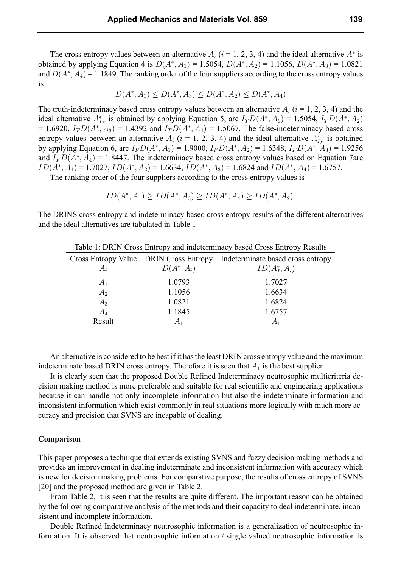The cross entropy values between an alternative  $A_i$  ( $i = 1, 2, 3, 4$ ) and the ideal alternative  $A^*$  is obtained by applying Equation 4 is  $D(A^*, A_1) = 1.5054$ ,  $D(A^*, A_2) = 1.1056$ ,  $D(A^*, A_3) = 1.0821$ and  $D(A^*,A_4)$  = 1.1849. The ranking order of the four suppliers according to the cross entropy values is

$$
D(A^*, A_1) \le D(A^*, A_3) \le D(A^*, A_2) \le D(A^*, A_4)
$$

The truth-indeterminacy based cross entropy values between an alternative  $A_i$  ( $i = 1, 2, 3, 4$ ) and the ideal alternative  $A_{I_T}^*$  is obtained by applying Equation 5, are  $I_T D(A^*, A_1) = 1.5054$ ,  $I_T D(A^*, A_2)$  $= 1.6920, I_T D(A^*, A_3) = 1.4392$  and  $I_T D(A^*, A_4) = 1.5067$ . The false-indeterminacy based cross entropy values between an alternative  $A_i$  ( $i = 1, 2, 3, 4$ ) and the ideal alternative  $A_{I_F}^*$  is obtained by applying Equation 6, are  $I_F D(A^*, A_1) = 1.9000$ ,  $I_F D(A^*, A_2) = 1.6348$ ,  $I_F D(A^*, A_3) = 1.9256$ and *I<sup>F</sup> D*(*A<sup>∗</sup> , A*4) = 1.8447. The indeterminacy based cross entropy values based on Equation 7are  $ID(A^*, A_1) = 1.7027, ID(A^*, A_2) = 1.6634, ID(A^*, A_3) = 1.6824$  and  $ID(A^*, A_4) = 1.6757$ .

The ranking order of the four suppliers according to the cross entropy values is

$$
ID(A^*, A_1) \geq ID(A^*, A_3) \geq ID(A^*, A_4) \geq ID(A^*, A_2).
$$

The DRINS cross entropy and indeterminacy based cross entropy results of the different alternatives and the ideal alternatives are tabulated in Table 1.

| $1401$ $\bullet$ $1000$ $\bullet$ $1000$ $\bullet$ $1000$ $\bullet$ $1000$ $\bullet$ $1000$ $\bullet$ $1000$ $\bullet$ $1000$ $\bullet$ $1000$ $\bullet$ $1000$ $\bullet$ $1000$ $\bullet$ $1000$ $\bullet$ $1000$ $\bullet$ $1000$ $\bullet$ $1000$ $\bullet$ $1000$ $\bullet$ $1000$ $\bullet$ $1000$ $\bullet$ $1000$ |                                        |                                   |  |  |
|--------------------------------------------------------------------------------------------------------------------------------------------------------------------------------------------------------------------------------------------------------------------------------------------------------------------------|----------------------------------------|-----------------------------------|--|--|
|                                                                                                                                                                                                                                                                                                                          | Cross Entropy Value DRIN Cross Entropy | Indeterminate based cross entropy |  |  |
| $A_i$                                                                                                                                                                                                                                                                                                                    | $D(A^*,A_i)$                           | $ID(A_I^*, A_i)$                  |  |  |
| $A_1$                                                                                                                                                                                                                                                                                                                    | 1.0793                                 | 1.7027                            |  |  |
| $A_2$                                                                                                                                                                                                                                                                                                                    | 1.1056                                 | 1.6634                            |  |  |
| $A_3$                                                                                                                                                                                                                                                                                                                    | 1.0821                                 | 1.6824                            |  |  |
| $A_4$                                                                                                                                                                                                                                                                                                                    | 1.1845                                 | 1.6757                            |  |  |
| Result                                                                                                                                                                                                                                                                                                                   |                                        | $A_1$                             |  |  |

Table 1: DRIN Cross Entropy and indeterminacy based Cross Entropy Results

An alternative is considered to be best if it has the least DRIN cross entropy value and the maximum indeterminate based DRIN cross entropy. Therefore it is seen that  $A_1$  is the best supplier.

It is clearly seen that the proposed Double Refined Indeterminacy neutrosophic multicriteria decision making method is more preferable and suitable for real scientific and engineering applications because it can handle not only incomplete information but also the indeterminate information and inconsistent information which exist commonly in real situations more logically with much more accuracy and precision that SVNS are incapable of dealing.

#### **Comparison**

This paper proposes a technique that extends existing SVNS and fuzzy decision making methods and provides an improvement in dealing indeterminate and inconsistent information with accuracy which is new for decision making problems. For comparative purpose, the results of cross entropy of SVNS [20] and the proposed method are given in Table 2.

From Table 2, it is seen that the results are quite different. The important reason can be obtained by the following comparative analysis of the methods and their capacity to deal indeterminate, inconsistent and incomplete information.

Double Refined Indeterminacy neutrosophic information is a generalization of neutrosophic information. It is observed that neutrosophic information / single valued neutrosophic information is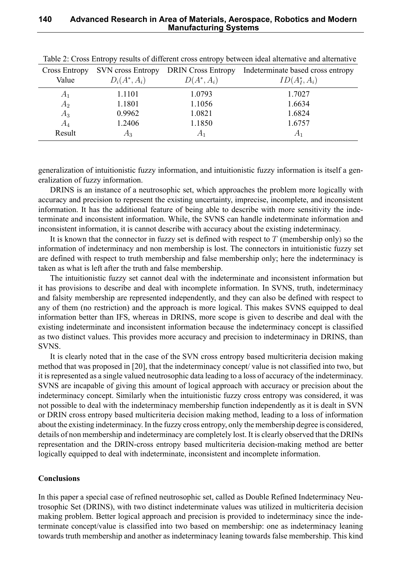| Cross Entropy | <b>SVN</b> cross Entropy | <b>DRIN</b> Cross Entropy | Indeterminate based cross entropy |
|---------------|--------------------------|---------------------------|-----------------------------------|
| Value         | $D_i(A^*,A_i)$           | $D(A^*,A_i)$              | $ID(A_I^*, A_i)$                  |
| $A_1$         | 1.1101                   | 1.0793                    | 1.7027                            |
| $A_2$         | 1.1801                   | 1.1056                    | 1.6634                            |
| $A_3$         | 0.9962                   | 1.0821                    | 1.6824                            |
| $A_4$         | 1.2406                   | 1.1850                    | 1.6757                            |
| Result        | $A_3$                    | $A_1$                     | A <sub>1</sub>                    |

Table 2: Cross Entropy results of different cross entropy between ideal alternative and alternative

generalization of intuitionistic fuzzy information, and intuitionistic fuzzy information is itself a generalization of fuzzy information.

DRINS is an instance of a neutrosophic set, which approaches the problem more logically with accuracy and precision to represent the existing uncertainty, imprecise, incomplete, and inconsistent information. It has the additional feature of being able to describe with more sensitivity the indeterminate and inconsistent information. While, the SVNS can handle indeterminate information and inconsistent information, it is cannot describe with accuracy about the existing indeterminacy.

It is known that the connector in fuzzy set is defined with respect to *T* (membership only) so the information of indeterminacy and non membership is lost. The connectors in intuitionistic fuzzy set are defined with respect to truth membership and false membership only; here the indeterminacy is taken as what is left after the truth and false membership.

The intuitionistic fuzzy set cannot deal with the indeterminate and inconsistent information but it has provisions to describe and deal with incomplete information. In SVNS, truth, indeterminacy and falsity membership are represented independently, and they can also be defined with respect to any of them (no restriction) and the approach is more logical. This makes SVNS equipped to deal information better than IFS, whereas in DRINS, more scope is given to describe and deal with the existing indeterminate and inconsistent information because the indeterminacy concept is classified as two distinct values. This provides more accuracy and precision to indeterminacy in DRINS, than SVNS.

It is clearly noted that in the case of the SVN cross entropy based multicriteria decision making method that was proposed in [20], that the indeterminacy concept/ value is not classified into two, but it is represented as a single valued neutrosophic data leading to a loss of accuracy of the indeterminacy. SVNS are incapable of giving this amount of logical approach with accuracy or precision about the indeterminacy concept. Similarly when the intuitionistic fuzzy cross entropy was considered, it was not possible to deal with the indeterminacy membership function independently as it is dealt in SVN or DRIN cross entropy based multicriteria decision making method, leading to a loss of information about the existing indeterminacy. In the fuzzy cross entropy, only the membership degree is considered, details of non membership and indeterminacy are completely lost. It is clearly observed that the DRINs representation and the DRIN-cross entropy based multicriteria decision-making method are better logically equipped to deal with indeterminate, inconsistent and incomplete information.

## **Conclusions**

In this paper a special case of refined neutrosophic set, called as Double Refined Indeterminacy Neutrosophic Set (DRINS), with two distinct indeterminate values was utilized in multicriteria decision making problem. Better logical approach and precision is provided to indeterminacy since the indeterminate concept/value is classified into two based on membership: one as indeterminacy leaning towards truth membership and another as indeterminacy leaning towards false membership. This kind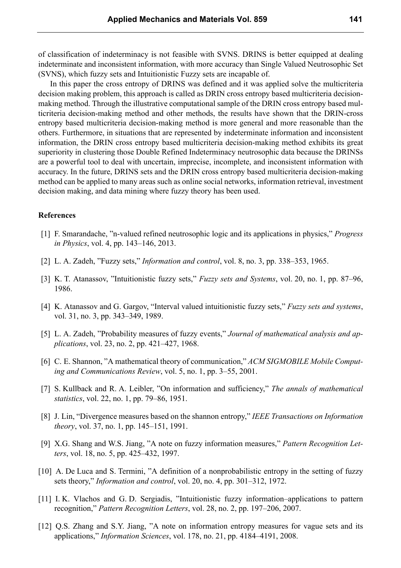of classification of indeterminacy is not feasible with SVNS. DRINS is better equipped at dealing indeterminate and inconsistent information, with more accuracy than Single Valued Neutrosophic Set (SVNS), which fuzzy sets and Intuitionistic Fuzzy sets are incapable of.

In this paper the cross entropy of DRINS was defined and it was applied solve the multicriteria decision making problem, this approach is called as DRIN cross entropy based multicriteria decisionmaking method. Through the illustrative computational sample of the DRIN cross entropy based multicriteria decision-making method and other methods, the results have shown that the DRIN-cross entropy based multicriteria decision-making method is more general and more reasonable than the others. Furthermore, in situations that are represented by indeterminate information and inconsistent information, the DRIN cross entropy based multicriteria decision-making method exhibits its great superiority in clustering those Double Refined Indeterminacy neutrosophic data because the DRINSs are a powerful tool to deal with uncertain, imprecise, incomplete, and inconsistent information with accuracy. In the future, DRINS sets and the DRIN cross entropy based multicriteria decision-making method can be applied to many areas such as online social networks, information retrieval, investment decision making, and data mining where fuzzy theory has been used.

#### **References**

- [1] F. Smarandache, "n-valued refined neutrosophic logic and its applications in physics," *Progress in Physics*, vol. 4, pp. 143–146, 2013.
- [2] L. A. Zadeh, "Fuzzy sets," *Information and control*, vol. 8, no. 3, pp. 338–353, 1965.
- [3] K. T. Atanassov, "Intuitionistic fuzzy sets," *Fuzzy sets and Systems*, vol. 20, no. 1, pp. 87–96, 1986.
- [4] K. Atanassov and G. Gargov, "Interval valued intuitionistic fuzzy sets," *Fuzzy sets and systems*, vol. 31, no. 3, pp. 343–349, 1989.
- [5] L. A. Zadeh, "Probability measures of fuzzy events," *Journal of mathematical analysis and applications*, vol. 23, no. 2, pp. 421–427, 1968.
- [6] C. E. Shannon, "A mathematical theory of communication," *ACM SIGMOBILE Mobile Computing and Communications Review*, vol. 5, no. 1, pp. 3–55, 2001.
- [7] S. Kullback and R. A. Leibler, "On information and sufficiency," *The annals of mathematical statistics*, vol. 22, no. 1, pp. 79–86, 1951.
- [8] J. Lin, "Divergence measures based on the shannon entropy," *IEEE Transactions on Information theory*, vol. 37, no. 1, pp. 145–151, 1991.
- [9] X.G. Shang and W.S. Jiang, "A note on fuzzy information measures," *Pattern Recognition Letters*, vol. 18, no. 5, pp. 425–432, 1997.
- [10] A. De Luca and S. Termini, "A definition of a nonprobabilistic entropy in the setting of fuzzy sets theory," *Information and control*, vol. 20, no. 4, pp. 301–312, 1972.
- [11] I. K. Vlachos and G. D. Sergiadis, "Intuitionistic fuzzy information–applications to pattern recognition," *Pattern Recognition Letters*, vol. 28, no. 2, pp. 197–206, 2007.
- [12] Q.S. Zhang and S.Y. Jiang, "A note on information entropy measures for vague sets and its applications," *Information Sciences*, vol. 178, no. 21, pp. 4184–4191, 2008.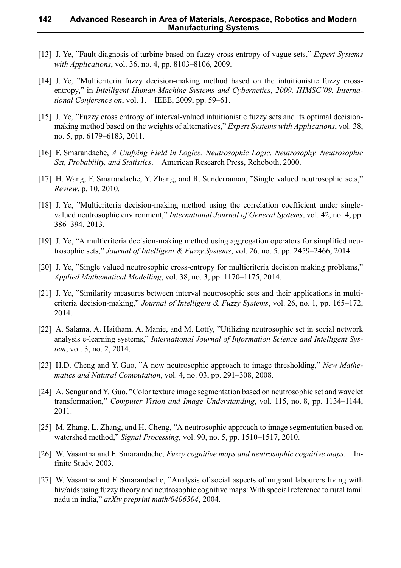#### **142 Advanced Research in Area of Materials, Aerospace, Robotics and Modern Manufacturing Systems**

- [13] J. Ye, "Fault diagnosis of turbine based on fuzzy cross entropy of vague sets," *Expert Systems with Applications*, vol. 36, no. 4, pp. 8103–8106, 2009.
- [14] J. Ye, "Multicriteria fuzzy decision-making method based on the intuitionistic fuzzy crossentropy," in *Intelligent Human-Machine Systems and Cybernetics, 2009. IHMSC'09. International Conference on*, vol. 1. IEEE, 2009, pp. 59–61.
- [15] J. Ye, "Fuzzy cross entropy of interval-valued intuitionistic fuzzy sets and its optimal decisionmaking method based on the weights of alternatives," *Expert Systems with Applications*, vol. 38, no. 5, pp. 6179–6183, 2011.
- [16] F. Smarandache, *A Unifying Field in Logics: Neutrosophic Logic. Neutrosophy, Neutrosophic Set, Probability, and Statistics*. American Research Press, Rehoboth, 2000.
- [17] H. Wang, F. Smarandache, Y. Zhang, and R. Sunderraman, "Single valued neutrosophic sets," *Review*, p. 10, 2010.
- [18] J. Ye, "Multicriteria decision-making method using the correlation coefficient under singlevalued neutrosophic environment," *International Journal of General Systems*, vol. 42, no. 4, pp. 386–394, 2013.
- [19] J. Ye, "A multicriteria decision-making method using aggregation operators for simplified neutrosophic sets," *Journal of Intelligent & Fuzzy Systems*, vol. 26, no. 5, pp. 2459–2466, 2014.
- [20] J. Ye, "Single valued neutrosophic cross-entropy for multicriteria decision making problems," *Applied Mathematical Modelling*, vol. 38, no. 3, pp. 1170–1175, 2014.
- [21] J. Ye, "Similarity measures between interval neutrosophic sets and their applications in multicriteria decision-making," *Journal of Intelligent & Fuzzy Systems*, vol. 26, no. 1, pp. 165–172, 2014.
- [22] A. Salama, A. Haitham, A. Manie, and M. Lotfy, "Utilizing neutrosophic set in social network analysis e-learning systems," *International Journal of Information Science and Intelligent System*, vol. 3, no. 2, 2014.
- [23] H.D. Cheng and Y. Guo, "A new neutrosophic approach to image thresholding," *New Mathematics and Natural Computation*, vol. 4, no. 03, pp. 291–308, 2008.
- [24] A. Sengur and Y. Guo, "Color texture image segmentation based on neutrosophic set and wavelet transformation," *Computer Vision and Image Understanding*, vol. 115, no. 8, pp. 1134–1144, 2011.
- [25] M. Zhang, L. Zhang, and H. Cheng, "A neutrosophic approach to image segmentation based on watershed method," *Signal Processing*, vol. 90, no. 5, pp. 1510–1517, 2010.
- [26] W. Vasantha and F. Smarandache, *Fuzzy cognitive maps and neutrosophic cognitive maps*. Infinite Study, 2003.
- [27] W. Vasantha and F. Smarandache, "Analysis of social aspects of migrant labourers living with hiv/aids using fuzzy theory and neutrosophic cognitive maps: With special reference to rural tamil nadu in india," *arXiv preprint math/0406304*, 2004.